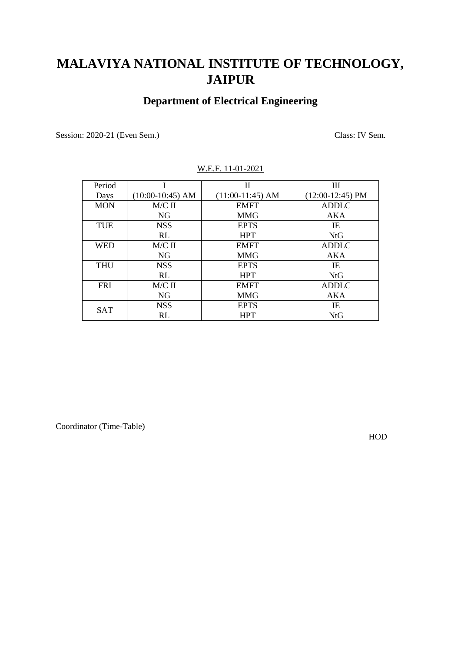## **Department of Electrical Engineering**

Session: 2020-21 (Even Sem.) Class: IV Sem.

| Period     |                    | П                  | Ш                  |
|------------|--------------------|--------------------|--------------------|
| Days       | $(10:00-10:45)$ AM | $(11:00-11:45)$ AM | $(12:00-12:45)$ PM |
| <b>MON</b> | $M/C$ II           | <b>EMFT</b>        | <b>ADDLC</b>       |
|            | <b>NG</b>          | <b>MMG</b>         | AKA                |
| <b>TUE</b> | <b>NSS</b>         | <b>EPTS</b>        | IE                 |
|            | RL                 | <b>HPT</b>         | <b>NtG</b>         |
| <b>WED</b> | $M/C$ II           | <b>EMFT</b>        | <b>ADDLC</b>       |
|            | <b>NG</b>          | <b>MMG</b>         | AKA                |
| <b>THU</b> | <b>NSS</b>         | <b>EPTS</b>        | IE                 |
|            | RL                 | <b>HPT</b>         | <b>NtG</b>         |
| <b>FRI</b> | $M/C$ II           | <b>EMFT</b>        | <b>ADDLC</b>       |
|            | NG                 | <b>MMG</b>         | AKA                |
|            | <b>NSS</b>         | <b>EPTS</b>        | IE                 |
| <b>SAT</b> | RL                 | <b>HPT</b>         | <b>NtG</b>         |

#### W.E.F. 11-01-2021

Coordinator (Time-Table)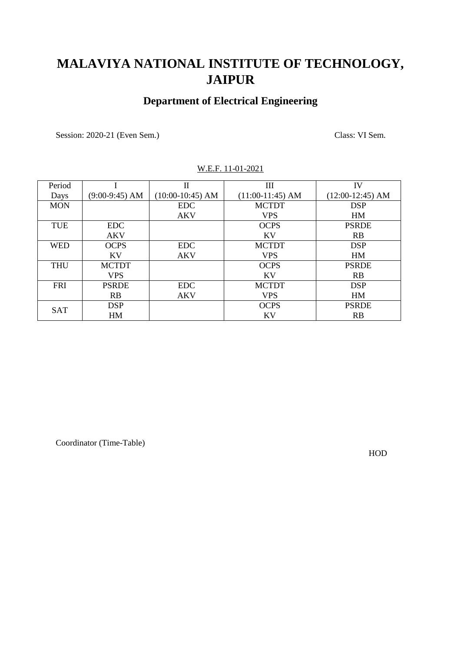### **Department of Electrical Engineering**

Session: 2020-21 (Even Sem.) Class: VI Sem.

| Period     |                  | $\mathbf{H}$       | Ш                  | IV                 |
|------------|------------------|--------------------|--------------------|--------------------|
| Days       | $(9:00-9:45)$ AM | $(10:00-10:45)$ AM | $(11:00-11:45)$ AM | $(12:00-12:45)$ AM |
| <b>MON</b> |                  | <b>EDC</b>         | <b>MCTDT</b>       | <b>DSP</b>         |
|            |                  | <b>AKV</b>         | <b>VPS</b>         | HM                 |
| <b>TUE</b> | <b>EDC</b>       |                    | <b>OCPS</b>        | <b>PSRDE</b>       |
|            | <b>AKV</b>       |                    | KV                 | <b>RB</b>          |
| <b>WED</b> | <b>OCPS</b>      | <b>EDC</b>         | <b>MCTDT</b>       | <b>DSP</b>         |
|            | KV               | <b>AKV</b>         | <b>VPS</b>         | HM                 |
| <b>THU</b> | <b>MCTDT</b>     |                    | <b>OCPS</b>        | <b>PSRDE</b>       |
|            | <b>VPS</b>       |                    | KV                 | RB                 |
| <b>FRI</b> | <b>PSRDE</b>     | <b>EDC</b>         | <b>MCTDT</b>       | <b>DSP</b>         |
|            | <b>RB</b>        | <b>AKV</b>         | <b>VPS</b>         | HM                 |
|            | <b>DSP</b>       |                    | <b>OCPS</b>        | <b>PSRDE</b>       |
| <b>SAT</b> | HM               |                    | <b>KV</b>          | <b>RB</b>          |

#### W.E.F. 11-01-2021

Coordinator (Time-Table)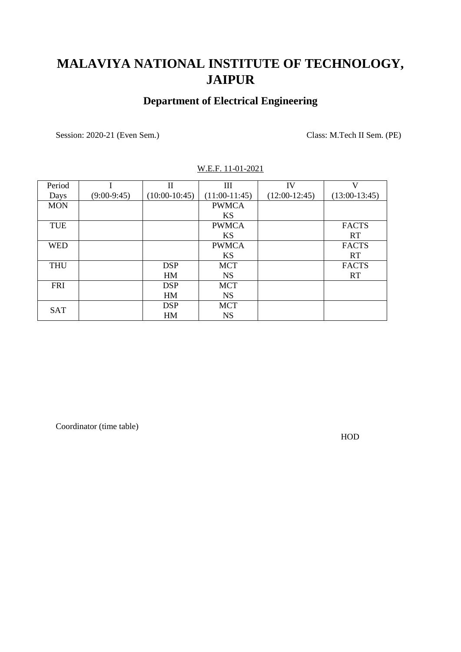### **Department of Electrical Engineering**

Session: 2020-21 (Even Sem.) Class: M.Tech II Sem. (PE)

| Period     |               | $\mathbf{I}$    | $\mathop{\rm III}$ | IV              | V               |
|------------|---------------|-----------------|--------------------|-----------------|-----------------|
| Days       | $(9:00-9:45)$ | $(10:00-10:45)$ | $(11:00-11:45)$    | $(12:00-12:45)$ | $(13:00-13:45)$ |
| <b>MON</b> |               |                 | <b>PWMCA</b>       |                 |                 |
|            |               |                 | <b>KS</b>          |                 |                 |
| <b>TUE</b> |               |                 | <b>PWMCA</b>       |                 | <b>FACTS</b>    |
|            |               |                 | <b>KS</b>          |                 | <b>RT</b>       |
| <b>WED</b> |               |                 | <b>PWMCA</b>       |                 | <b>FACTS</b>    |
|            |               |                 | <b>KS</b>          |                 | <b>RT</b>       |
| <b>THU</b> |               | <b>DSP</b>      | <b>MCT</b>         |                 | <b>FACTS</b>    |
|            |               | HM              | <b>NS</b>          |                 | <b>RT</b>       |
| <b>FRI</b> |               | <b>DSP</b>      | <b>MCT</b>         |                 |                 |
|            |               | HM              | <b>NS</b>          |                 |                 |
| <b>SAT</b> |               | <b>DSP</b>      | <b>MCT</b>         |                 |                 |
|            |               | HM              | <b>NS</b>          |                 |                 |

#### W.E.F. 11-01-2021

Coordinator (time table)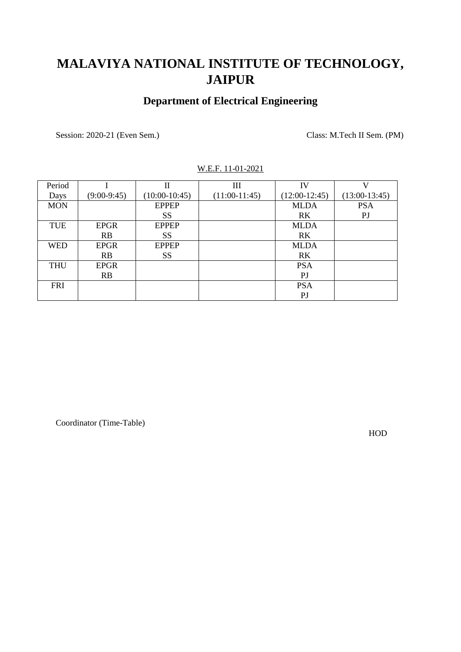### **Department of Electrical Engineering**

Session: 2020-21 (Even Sem.) Class: M.Tech II Sem. (PM)

| Period     |               | П               | Ш               | IV              | V               |
|------------|---------------|-----------------|-----------------|-----------------|-----------------|
| Days       | $(9:00-9:45)$ | $(10:00-10:45)$ | $(11:00-11:45)$ | $(12:00-12:45)$ | $(13:00-13:45)$ |
| <b>MON</b> |               | <b>EPPEP</b>    |                 | <b>MLDA</b>     | <b>PSA</b>      |
|            |               | <b>SS</b>       |                 | <b>RK</b>       | P <sub>J</sub>  |
| <b>TUE</b> | <b>EPGR</b>   | <b>EPPEP</b>    |                 | <b>MLDA</b>     |                 |
|            | RB            | SS              |                 | R <sub>K</sub>  |                 |
| <b>WED</b> | <b>EPGR</b>   | <b>EPPEP</b>    |                 | <b>MLDA</b>     |                 |
|            | RB            | SS              |                 | RK.             |                 |
| <b>THU</b> | <b>EPGR</b>   |                 |                 | <b>PSA</b>      |                 |
|            | RB            |                 |                 | $\mathbf{P}$    |                 |
| <b>FRI</b> |               |                 |                 | <b>PSA</b>      |                 |
|            |               |                 |                 | $\mathbf{P}$    |                 |

#### W.E.F. 11-01-2021

Coordinator (Time-Table)